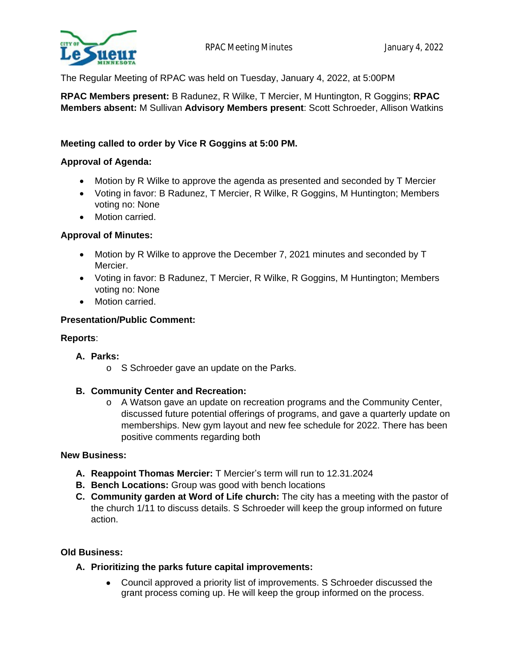

The Regular Meeting of RPAC was held on Tuesday, January 4, 2022, at 5:00PM

**RPAC Members present:** B Radunez, R Wilke, T Mercier, M Huntington, R Goggins; **RPAC Members absent:** M Sullivan **Advisory Members present**: Scott Schroeder, Allison Watkins

## **Meeting called to order by Vice R Goggins at 5:00 PM.**

#### **Approval of Agenda:**

- Motion by R Wilke to approve the agenda as presented and seconded by T Mercier
- Voting in favor: B Radunez, T Mercier, R Wilke, R Goggins, M Huntington; Members voting no: None
- Motion carried.

## **Approval of Minutes:**

- Motion by R Wilke to approve the December 7, 2021 minutes and seconded by T Mercier.
- Voting in favor: B Radunez, T Mercier, R Wilke, R Goggins, M Huntington; Members voting no: None
- Motion carried.

#### **Presentation/Public Comment:**

#### **Reports**:

#### **A. Parks:**

o S Schroeder gave an update on the Parks.

#### **B. Community Center and Recreation:**

o A Watson gave an update on recreation programs and the Community Center, discussed future potential offerings of programs, and gave a quarterly update on memberships. New gym layout and new fee schedule for 2022. There has been positive comments regarding both

#### **New Business:**

- **A. Reappoint Thomas Mercier:** T Mercier's term will run to 12.31.2024
- **B. Bench Locations:** Group was good with bench locations
- **C. Community garden at Word of Life church:** The city has a meeting with the pastor of the church 1/11 to discuss details. S Schroeder will keep the group informed on future action.

#### **Old Business:**

- **A. Prioritizing the parks future capital improvements:**
	- Council approved a priority list of improvements. S Schroeder discussed the grant process coming up. He will keep the group informed on the process.